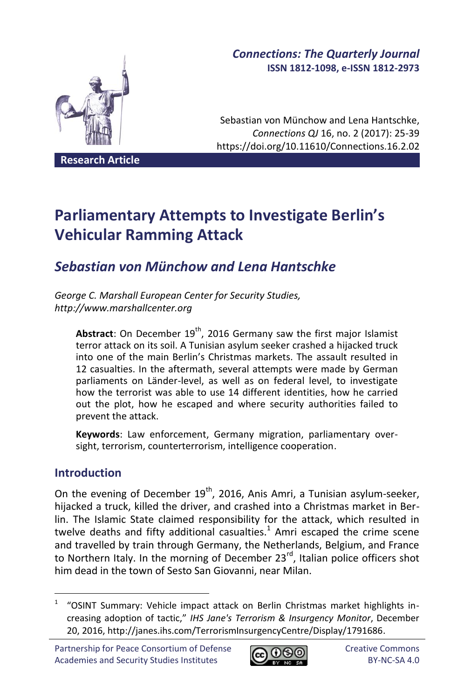# *Connections: The Quarterly Journal* **ISSN 1812-1098, e-ISSN 1812-2973**

Sebastian von Münchow and Lena Hantschke, *Connections QJ* 16, no. 2 (2017): 25-39 https://doi.org/10.11610/Connections.16.2.02

**Research Article**

# **Parliamentary Attempts to Investigate Berlin's Vehicular Ramming Attack**

# *Sebastian von Münchow and Lena Hantschke*

*George C. Marshall European Center for Security Studies, http://www.marshallcenter.org*

Abstract: On December 19<sup>th</sup>, 2016 Germany saw the first major Islamist terror attack on its soil. A Tunisian asylum seeker crashed a hijacked truck into one of the main Berlin's Christmas markets. The assault resulted in 12 casualties. In the aftermath, several attempts were made by German parliaments on Länder-level, as well as on federal level, to investigate how the terrorist was able to use 14 different identities, how he carried out the plot, how he escaped and where security authorities failed to prevent the attack.

**Keywords**: Law enforcement, Germany migration, parliamentary oversight, terrorism, counterterrorism, intelligence cooperation.

# **Introduction**

1

On the evening of December  $19<sup>th</sup>$ , 2016, Anis Amri, a Tunisian asylum-seeker, hijacked a truck, killed the driver, and crashed into a Christmas market in Berlin. The Islamic State claimed responsibility for the attack, which resulted in twelve deaths and fifty additional casualties. $1$  Amri escaped the crime scene and travelled by train through Germany, the Netherlands, Belgium, and France to Northern Italy. In the morning of December  $23<sup>rd</sup>$ , Italian police officers shot him dead in the town of Sesto San Giovanni, near Milan.



<sup>1</sup> "OSINT Summary: Vehicle impact attack on Berlin Christmas market highlights increasing adoption of tactic," *IHS Jane's Terrorism & Insurgency Monitor*, December 20, 2016, http://janes.ihs.com/TerrorismInsurgencyCentre/Display/1791686.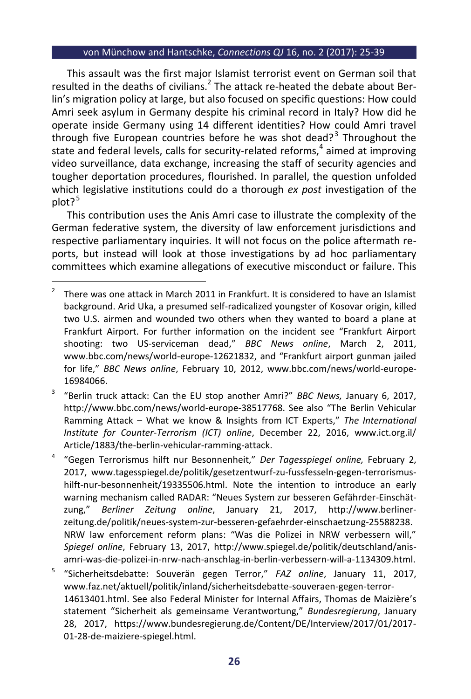This assault was the first major Islamist terrorist event on German soil that resulted in the deaths of civilians. $^2$  The attack re-heated the debate about Berlin's migration policy at large, but also focused on specific questions: How could Amri seek asylum in Germany despite his criminal record in Italy? How did he operate inside Germany using 14 different identities? How could Amri travel through five European countries before he was shot dead?<sup>3</sup> Throughout the state and federal levels, calls for security-related reforms, 4 aimed at improving video surveillance, data exchange, increasing the staff of security agencies and tougher deportation procedures, flourished. In parallel, the question unfolded which legislative institutions could do a thorough *ex post* investigation of the  $plot?$ <sup>5</sup>

This contribution uses the Anis Amri case to illustrate the complexity of the German federative system, the diversity of law enforcement jurisdictions and respective parliamentary inquiries. It will not focus on the police aftermath reports, but instead will look at those investigations by ad hoc parliamentary committees which examine allegations of executive misconduct or failure. This

3 "Berlin truck attack: Can the EU stop another Amri?" *BBC News,* January 6, 2017, http://www.bbc.com/news/world-europe-38517768. See also "The Berlin Vehicular Ramming Attack – What we know & Insights from ICT Experts," *The International Institute for Counter-Terrorism (ICT) online*, December 22, 2016, www.ict.org.il/ Article/1883/the-berlin-vehicular-ramming-attack.

4 "Gegen Terrorismus hilft nur Besonnenheit," *Der Tagesspiegel online,* February 2, 2017, www.tagesspiegel.de/politik/gesetzentwurf-zu-fussfesseln-gegen-terrorismushilft-nur-besonnenheit/19335506.html. Note the intention to introduce an early warning mechanism called RADAR: "Neues System zur besseren Gefährder-Einschätzung," *Berliner Zeitung online*, January 21, 2017, http://www.berlinerzeitung.de/politik/neues-system-zur-besseren-gefaehrder-einschaetzung-25588238. NRW law enforcement reform plans: "Was die Polizei in NRW verbessern will," *Spiegel online*, February 13, 2017, http://www.spiegel.de/politik/deutschland/anisamri-was-die-polizei-in-nrw-nach-anschlag-in-berlin-verbessern-will-a-1134309.html.

5 "Sicherheitsdebatte: Souverän gegen Terror," *FAZ online*, January 11, 2017, www.faz.net/aktuell/politik/inland/sicherheitsdebatte-souveraen-gegen-terror-14613401.html. See also Federal Minister for Internal Affairs, Thomas de Maizière's statement "Sicherheit als gemeinsame Verantwortung," *Bundesregierung*, January 28, 2017, https://www.bundesregierung.de/Content/DE/Interview/2017/01/2017- 01-28-de-maiziere-spiegel.html.

 $\overline{a}$ 2 There was one attack in March 2011 in Frankfurt. It is considered to have an Islamist background. Arid Uka, a presumed self-radicalized youngster of Kosovar origin, killed two U.S. airmen and wounded two others when they wanted to board a plane at Frankfurt Airport. For further information on the incident see "Frankfurt Airport shooting: two US-serviceman dead," *BBC News online*, March 2, 2011, www.bbc.com/news/world-europe-12621832, and "Frankfurt airport gunman jailed for life," *BBC News online*, February 10, 2012, www.bbc.com/news/world-europe-16984066.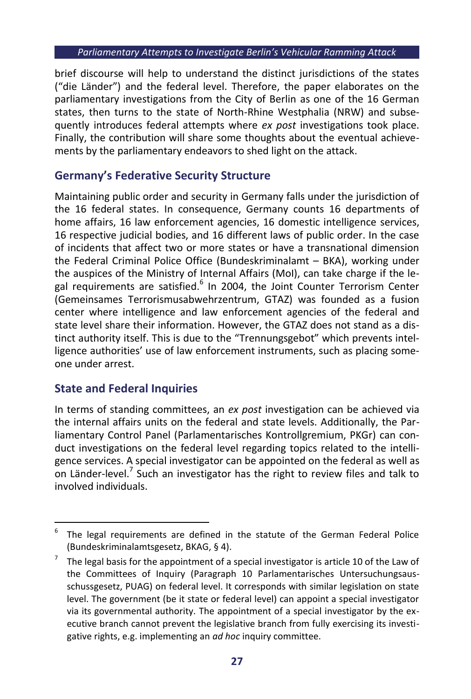brief discourse will help to understand the distinct jurisdictions of the states ("die Länder") and the federal level. Therefore, the paper elaborates on the parliamentary investigations from the City of Berlin as one of the 16 German states, then turns to the state of North-Rhine Westphalia (NRW) and subsequently introduces federal attempts where *ex post* investigations took place. Finally, the contribution will share some thoughts about the eventual achievements by the parliamentary endeavors to shed light on the attack.

# **Germany's Federative Security Structure**

Maintaining public order and security in Germany falls under the jurisdiction of the 16 federal states. In consequence, Germany counts 16 departments of home affairs, 16 law enforcement agencies, 16 domestic intelligence services, 16 respective judicial bodies, and 16 different laws of public order. In the case of incidents that affect two or more states or have a transnational dimension the Federal Criminal Police Office (Bundeskriminalamt – BKA), working under the auspices of the Ministry of Internal Affairs (MoI), can take charge if the legal requirements are satisfied.<sup>6</sup> In 2004, the Joint Counter Terrorism Center (Gemeinsames Terrorismusabwehrzentrum, GTAZ) was founded as a fusion center where intelligence and law enforcement agencies of the federal and state level share their information. However, the GTAZ does not stand as a distinct authority itself. This is due to the "Trennungsgebot" which prevents intelligence authorities' use of law enforcement instruments, such as placing someone under arrest.

# **State and Federal Inquiries**

-

In terms of standing committees, an *ex post* investigation can be achieved via the internal affairs units on the federal and state levels. Additionally, the Parliamentary Control Panel (Parlamentarisches Kontrollgremium, PKGr) can conduct investigations on the federal level regarding topics related to the intelligence services. A special investigator can be appointed on the federal as well as on Länder-level.<sup>7</sup> Such an investigator has the right to review files and talk to involved individuals.

<sup>6</sup> The legal requirements are defined in the statute of the German Federal Police (Bundeskriminalamtsgesetz, BKAG, § 4).

<sup>7</sup> The legal basis for the appointment of a special investigator is article 10 of the Law of the Committees of Inquiry (Paragraph 10 Parlamentarisches Untersuchungsausschussgesetz, PUAG) on federal level. It corresponds with similar legislation on state level. The government (be it state or federal level) can appoint a special investigator via its governmental authority. The appointment of a special investigator by the executive branch cannot prevent the legislative branch from fully exercising its investigative rights, e.g. implementing an *ad hoc* inquiry committee.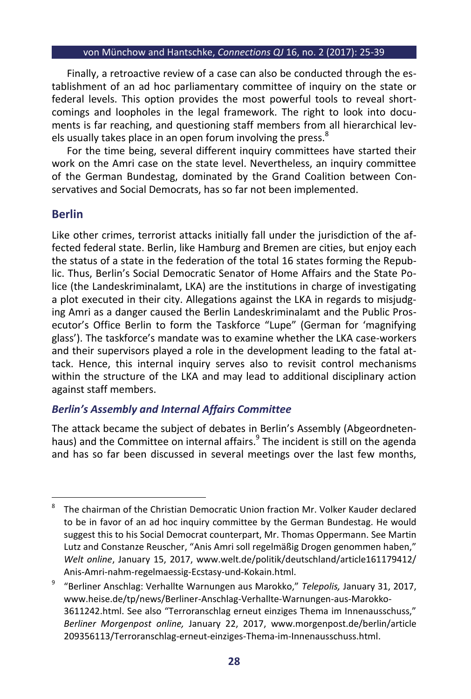Finally, a retroactive review of a case can also be conducted through the establishment of an ad hoc parliamentary committee of inquiry on the state or federal levels. This option provides the most powerful tools to reveal shortcomings and loopholes in the legal framework. The right to look into documents is far reaching, and questioning staff members from all hierarchical levels usually takes place in an open forum involving the press.<sup>8</sup>

For the time being, several different inquiry committees have started their work on the Amri case on the state level. Nevertheless, an inquiry committee of the German Bundestag, dominated by the Grand Coalition between Conservatives and Social Democrats, has so far not been implemented.

# **Berlin**

Like other crimes, terrorist attacks initially fall under the jurisdiction of the affected federal state. Berlin, like Hamburg and Bremen are cities, but enjoy each the status of a state in the federation of the total 16 states forming the Republic. Thus, Berlin's Social Democratic Senator of Home Affairs and the State Police (the Landeskriminalamt, LKA) are the institutions in charge of investigating a plot executed in their city. Allegations against the LKA in regards to misjudging Amri as a danger caused the Berlin Landeskriminalamt and the Public Prosecutor's Office Berlin to form the Taskforce "Lupe" (German for 'magnifying glass'). The taskforce's mandate was to examine whether the LKA case-workers and their supervisors played a role in the development leading to the fatal attack. Hence, this internal inquiry serves also to revisit control mechanisms within the structure of the LKA and may lead to additional disciplinary action against staff members.

# *Berlin's Assembly and Internal Affairs Committee*

The attack became the subject of debates in Berlin's Assembly (Abgeordnetenhaus) and the Committee on internal affairs.<sup>9</sup> The incident is still on the agenda and has so far been discussed in several meetings over the last few months,

 8 The chairman of the Christian Democratic Union fraction Mr. Volker Kauder declared to be in favor of an ad hoc inquiry committee by the German Bundestag. He would suggest this to his Social Democrat counterpart, Mr. Thomas Oppermann. See Martin Lutz and Constanze Reuscher, "Anis Amri soll regelmäßig Drogen genommen haben," *Welt online*, January 15, 2017, www.welt.de/politik/deutschland/article161179412/ Anis-Amri-nahm-regelmaessig-Ecstasy-und-Kokain.html.

<sup>9</sup> "Berliner Anschlag: Verhallte Warnungen aus Marokko," *Telepolis,* January 31, 2017, www.heise.de/tp/news/Berliner-Anschlag-Verhallte-Warnungen-aus-Marokko-3611242.html. See also "Terroranschlag erneut einziges Thema im Innenausschuss," *Berliner Morgenpost online,* January 22, 2017, www.morgenpost.de/berlin/article 209356113/Terroranschlag-erneut-einziges-Thema-im-Innenausschuss.html.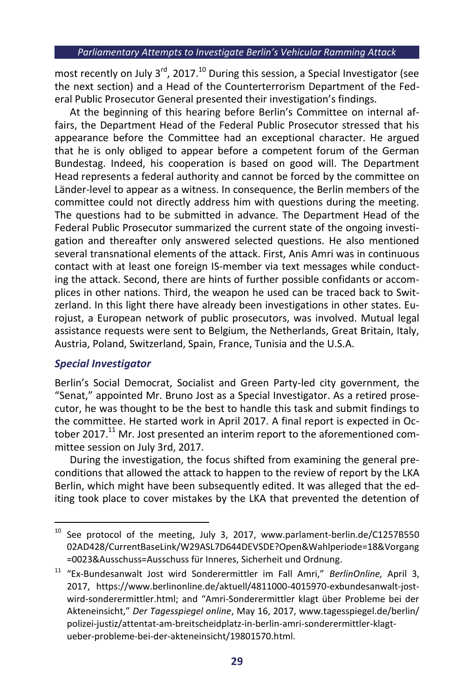most recently on July  $3^{rd}$ , 2017.<sup>10</sup> During this session, a Special Investigator (see the next section) and a Head of the Counterterrorism Department of the Federal Public Prosecutor General presented their investigation's findings.

At the beginning of this hearing before Berlin's Committee on internal affairs, the Department Head of the Federal Public Prosecutor stressed that his appearance before the Committee had an exceptional character. He argued that he is only obliged to appear before a competent forum of the German Bundestag. Indeed, his cooperation is based on good will. The Department Head represents a federal authority and cannot be forced by the committee on Länder-level to appear as a witness. In consequence, the Berlin members of the committee could not directly address him with questions during the meeting. The questions had to be submitted in advance. The Department Head of the Federal Public Prosecutor summarized the current state of the ongoing investigation and thereafter only answered selected questions. He also mentioned several transnational elements of the attack. First, Anis Amri was in continuous contact with at least one foreign IS-member via text messages while conducting the attack. Second, there are hints of further possible confidants or accomplices in other nations. Third, the weapon he used can be traced back to Switzerland. In this light there have already been investigations in other states. Eurojust, a European network of public prosecutors, was involved. Mutual legal assistance requests were sent to Belgium, the Netherlands, Great Britain, Italy, Austria, Poland, Switzerland, Spain, France, Tunisia and the U.S.A.

# *Special Investigator*

Berlin's Social Democrat, Socialist and Green Party-led city government, the "Senat," appointed Mr. Bruno Jost as a Special Investigator. As a retired prosecutor, he was thought to be the best to handle this task and submit findings to the committee. He started work in April 2017. A final report is expected in October 2017.<sup>11</sup> Mr. Jost presented an interim report to the aforementioned committee session on July 3rd, 2017.

During the investigation, the focus shifted from examining the general preconditions that allowed the attack to happen to the review of report by the LKA Berlin, which might have been subsequently edited. It was alleged that the editing took place to cover mistakes by the LKA that prevented the detention of

<sup>-</sup> $10$  See protocol of the meeting, July 3, 2017, www.parlament-berlin.de/C1257B550 02AD428/CurrentBaseLink/W29ASL7D644DEVSDE?Open&Wahlperiode=18&Vorgang =0023&Ausschuss=Ausschuss für Inneres, Sicherheit und Ordnung.

<sup>11</sup> "Ex-Bundesanwalt Jost wird Sonderermittler im Fall Amri," *BerlinOnline,* April 3, 2017, https://www.berlinonline.de/aktuell/4811000-4015970-exbundesanwalt-jostwird-sonderermittler.html; and "Amri-Sonderermittler klagt über Probleme bei der Akteneinsicht," *Der Tagesspiegel online*, May 16, 2017, www.tagesspiegel.de/berlin/ polizei-justiz/attentat-am-breitscheidplatz-in-berlin-amri-sonderermittler-klagtueber-probleme-bei-der-akteneinsicht/19801570.html.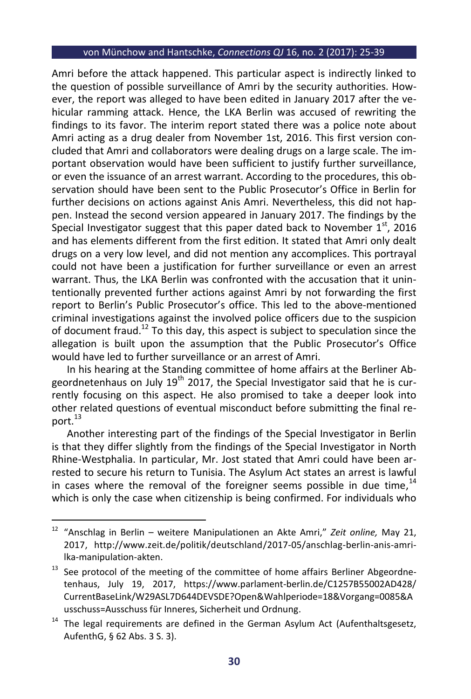Amri before the attack happened. This particular aspect is indirectly linked to the question of possible surveillance of Amri by the security authorities. However, the report was alleged to have been edited in January 2017 after the vehicular ramming attack. Hence, the LKA Berlin was accused of rewriting the findings to its favor. The interim report stated there was a police note about Amri acting as a drug dealer from November 1st, 2016. This first version concluded that Amri and collaborators were dealing drugs on a large scale. The important observation would have been sufficient to justify further surveillance, or even the issuance of an arrest warrant. According to the procedures, this observation should have been sent to the Public Prosecutor's Office in Berlin for further decisions on actions against Anis Amri. Nevertheless, this did not happen. Instead the second version appeared in January 2017. The findings by the Special Investigator suggest that this paper dated back to November  $1<sup>st</sup>$ , 2016 and has elements different from the first edition. It stated that Amri only dealt drugs on a very low level, and did not mention any accomplices. This portrayal could not have been a justification for further surveillance or even an arrest warrant. Thus, the LKA Berlin was confronted with the accusation that it unintentionally prevented further actions against Amri by not forwarding the first report to Berlin's Public Prosecutor's office. This led to the above-mentioned criminal investigations against the involved police officers due to the suspicion of document fraud.<sup>12</sup> To this day, this aspect is subject to speculation since the allegation is built upon the assumption that the Public Prosecutor's Office would have led to further surveillance or an arrest of Amri.

In his hearing at the Standing committee of home affairs at the Berliner Abgeordnetenhaus on July  $19<sup>th</sup>$  2017, the Special Investigator said that he is currently focusing on this aspect. He also promised to take a deeper look into other related questions of eventual misconduct before submitting the final report.<sup>13</sup>

Another interesting part of the findings of the Special Investigator in Berlin is that they differ slightly from the findings of the Special Investigator in North Rhine-Westphalia. In particular, Mr. Jost stated that Amri could have been arrested to secure his return to Tunisia. The Asylum Act states an arrest is lawful in cases where the removal of the foreigner seems possible in due time,  $^{14}$ which is only the case when citizenship is being confirmed. For individuals who

1

<sup>12</sup> "Anschlag in Berlin – weitere Manipulationen an Akte Amri," *Zeit online,* May 21, 2017, http://www.zeit.de/politik/deutschland/2017-05/anschlag-berlin-anis-amrilka-manipulation-akten.

 $13$  See protocol of the meeting of the committee of home affairs Berliner Abgeordnetenhaus, July 19, 2017, https://www.parlament-berlin.de/C1257B55002AD428/ CurrentBaseLink/W29ASL7D644DEVSDE?Open&Wahlperiode=18&Vorgang=0085&A usschuss=Ausschuss für Inneres, Sicherheit und Ordnung.

 $14$  The legal requirements are defined in the German Asylum Act (Aufenthaltsgesetz, AufenthG, § 62 Abs. 3 S. 3).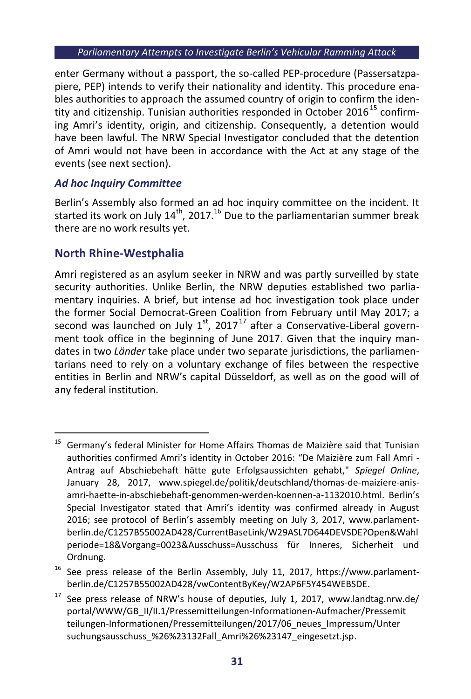enter Germany without a passport, the so-called PEP-procedure (Passersatzpapiere, PEP) intends to verify their nationality and identity. This procedure enables authorities to approach the assumed country of origin to confirm the identity and citizenship. Tunisian authorities responded in October 2016<sup>15</sup> confirming Amri's identity, origin, and citizenship. Consequently, a detention would have been lawful. The NRW Special Investigator concluded that the detention of Amri would not have been in accordance with the Act at any stage of the events (see next section).

# *Ad hoc Inquiry Committee*

Berlin's Assembly also formed an ad hoc inquiry committee on the incident. It started its work on July  $14<sup>th</sup>$ , 2017.<sup>16</sup> Due to the parliamentarian summer break there are no work results yet.

# **North Rhine-Westphalia**

Amri registered as an asylum seeker in NRW and was partly surveilled by state security authorities. Unlike Berlin, the NRW deputies established two parliamentary inquiries. A brief, but intense ad hoc investigation took place under the former Social Democrat-Green Coalition from February until May 2017; a second was launched on July  $1^{st}$ , 2017<sup>17</sup> after a Conservative-Liberal government took office in the beginning of June 2017. Given that the inquiry mandates in two *Länder* take place under two separate jurisdictions, the parliamentarians need to rely on a voluntary exchange of files between the respective entities in Berlin and NRW's capital Düsseldorf, as well as on the good will of any federal institution.

<sup>-</sup><sup>15</sup> Germany's federal Minister for Home Affairs Thomas de Maizière said that Tunisian authorities confirmed Amri's identity in October 2016: "De Maizière zum Fall Amri - Antrag auf Abschiebehaft hätte gute Erfolgsaussichten gehabt," *Spiegel Online*, January 28, 2017, www.spiegel.de/politik/deutschland/thomas-de-maiziere-anisamri-haette-in-abschiebehaft-genommen-werden-koennen-a-1132010.html. Berlin's Special Investigator stated that Amri's identity was confirmed already in August 2016; see protocol of Berlin's assembly meeting on July 3, 2017, www.parlamentberlin.de/C1257B55002AD428/CurrentBaseLink/W29ASL7D644DEVSDE?Open&Wahl periode=18&Vorgang=0023&Ausschuss=Ausschuss für Inneres, Sicherheit und Ordnung.

<sup>&</sup>lt;sup>16</sup> See press release of the Berlin Assembly, July 11, 2017, https://www.parlamentberlin.de/C1257B55002AD428/vwContentByKey/W2AP6F5Y454WEBSDE.

See press release of NRW's house of deputies, July 1, 2017, www.landtag.nrw.de/ portal/WWW/GB\_II/II.1/Pressemitteilungen-Informationen-Aufmacher/Pressemit teilungen-Informationen/Pressemitteilungen/2017/06\_neues\_Impressum/Unter suchungsausschuss %26%23132Fall Amri%26%23147 eingesetzt.jsp.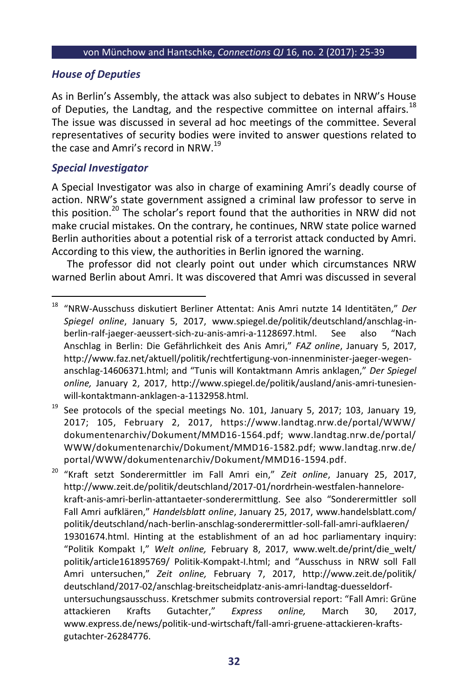# *House of Deputies*

As in Berlin's Assembly, the attack was also subject to debates in NRW's House of Deputies, the Landtag, and the respective committee on internal affairs.<sup>18</sup> The issue was discussed in several ad hoc meetings of the committee. Several representatives of security bodies were invited to answer questions related to the case and Amri's record in NRW.<sup>19</sup>

# *Special Investigator*

 $\overline{a}$ 

A Special Investigator was also in charge of examining Amri's deadly course of action. NRW's state government assigned a criminal law professor to serve in this position.<sup>20</sup> The scholar's report found that the authorities in NRW did not make crucial mistakes. On the contrary, he continues, NRW state police warned Berlin authorities about a potential risk of a terrorist attack conducted by Amri. According to this view, the authorities in Berlin ignored the warning.

The professor did not clearly point out under which circumstances NRW warned Berlin about Amri. It was discovered that Amri was discussed in several

See protocols of the special meetings No. 101, January 5, 2017; 103, January 19, 2017; 105, February 2, 2017, https://www.landtag.nrw.de/portal/WWW/ dokumentenarchiv/Dokument/MMD16-1564.pdf; www.landtag.nrw.de/portal/ WWW/dokumentenarchiv/Dokument/MMD16-1582.pdf; www.landtag.nrw.de/ portal/WWW/dokumentenarchiv/Dokument/MMD16-1594.pdf.

<sup>20</sup> "Kraft setzt Sonderermittler im Fall Amri ein," *Zeit online*, January 25, 2017, http://www.zeit.de/politik/deutschland/2017-01/nordrhein-westfalen-hannelorekraft-anis-amri-berlin-attantaeter-sonderermittlung. See also "Sonderermittler soll Fall Amri aufklären," *Handelsblatt online*, January 25, 2017, www.handelsblatt.com/ politik/deutschland/nach-berlin-anschlag-sonderermittler-soll-fall-amri-aufklaeren/ 19301674.html. Hinting at the establishment of an ad hoc parliamentary inquiry: "Politik Kompakt I," *Welt online,* February 8, 2017, www.welt.de/print/die\_welt/ politik/article161895769/ Politik-Kompakt-I.html; and "Ausschuss in NRW soll Fall Amri untersuchen," *Zeit online,* February 7, 2017, http://www.zeit.de/politik/ deutschland/2017-02/anschlag-breitscheidplatz-anis-amri-landtag-duesseldorfuntersuchungsausschuss. Kretschmer submits controversial report: "Fall Amri: Grüne attackieren Krafts Gutachter," *Express online,* March 30, 2017, www.express.de/news/politik-und-wirtschaft/fall-amri-gruene-attackieren-kraftsgutachter-26284776.

<sup>18</sup> "NRW-Ausschuss diskutiert Berliner Attentat: Anis Amri nutzte 14 Identitäten," *Der Spiegel online*, January 5, 2017, www.spiegel.de/politik/deutschland/anschlag-inberlin-ralf-jaeger-aeussert-sich-zu-anis-amri-a-1128697.html. See also "Nach Anschlag in Berlin: Die Gefährlichkeit des Anis Amri," *FAZ online*, January 5, 2017, http://www.faz.net/aktuell/politik/rechtfertigung-von-innenminister-jaeger-wegenanschlag-14606371.html; and "Tunis will Kontaktmann Amris anklagen," *Der Spiegel online,* January 2, 2017, http://www.spiegel.de/politik/ausland/anis-amri-tunesienwill-kontaktmann-anklagen-a-1132958.html.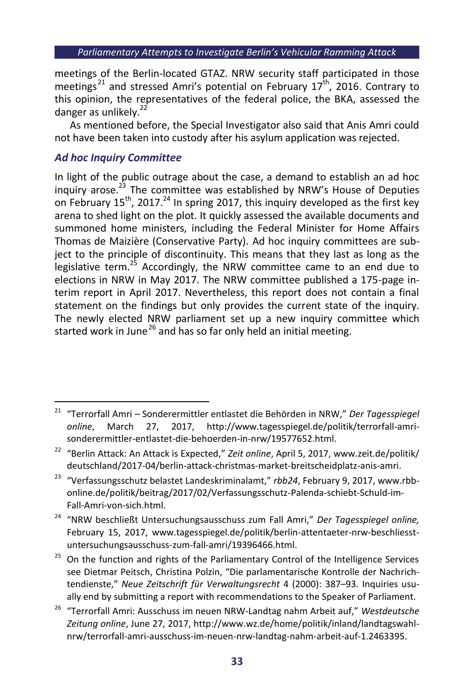meetings of the Berlin-located GTAZ. NRW security staff participated in those meetings<sup>21</sup> and stressed Amri's potential on February  $17<sup>th</sup>$ , 2016. Contrary to this opinion, the representatives of the federal police, the BKA, assessed the danger as unlikely. $^{2}$ 

As mentioned before, the Special Investigator also said that Anis Amri could not have been taken into custody after his asylum application was rejected.

# *Ad hoc Inquiry Committee*

In light of the public outrage about the case, a demand to establish an ad hoc inquiry arose.<sup>23</sup> The committee was established by NRW's House of Deputies on February  $15^{th}$ , 2017.<sup>24</sup> In spring 2017, this inquiry developed as the first key arena to shed light on the plot. It quickly assessed the available documents and summoned home ministers, including the Federal Minister for Home Affairs Thomas de Maizière (Conservative Party). Ad hoc inquiry committees are subject to the principle of discontinuity. This means that they last as long as the legislative term.<sup>25</sup> Accordingly, the NRW committee came to an end due to elections in NRW in May 2017. The NRW committee published a 175-page interim report in April 2017. Nevertheless, this report does not contain a final statement on the findings but only provides the current state of the inquiry. The newly elected NRW parliament set up a new inquiry committee which started work in June<sup>26</sup> and has so far only held an initial meeting.

<sup>1</sup> <sup>21</sup> "Terrorfall Amri – Sonderermittler entlastet die Behörden in NRW," *Der Tagesspiegel online*, March 27, 2017, http://www.tagesspiegel.de/politik/terrorfall-amrisonderermittler-entlastet-die-behoerden-in-nrw/19577652.html.

<sup>&</sup>lt;sup>22</sup> "Berlin Attack: An Attack is Expected," Zeit online, April 5, 2017, www.zeit.de/politik/ deutschland/2017-04/berlin-attack-christmas-market-breitscheidplatz-anis-amri.

<sup>23</sup> "Verfassungsschutz belastet Landeskriminalamt," *rbb24*, February 9, 2017, www.rbbonline.de/politik/beitrag/2017/02/Verfassungsschutz-Palenda-schiebt-Schuld-im-Fall-Amri-von-sich.html.

<sup>24</sup> "NRW beschließt Untersuchungsausschuss zum Fall Amri," *Der Tagesspiegel online,* February 15, 2017, www.tagesspiegel.de/politik/berlin-attentaeter-nrw-beschliesstuntersuchungsausschuss-zum-fall-amri/19396466.html.

<sup>&</sup>lt;sup>25</sup> On the function and rights of the Parliamentary Control of the Intelligence Services see Dietmar Peitsch, Christina Polzin, "Die parlamentarische Kontrolle der Nachrichtendienste," *Neue Zeitschrift für Verwaltungsrecht* 4 (2000): 387–93. Inquiries usually end by submitting a report with recommendations to the Speaker of Parliament.

<sup>26</sup> "Terrorfall Amri: Ausschuss im neuen NRW-Landtag nahm Arbeit auf," *Westdeutsche Zeitung online*, June 27, 2017, http://www.wz.de/home/politik/inland/landtagswahlnrw/terrorfall-amri-ausschuss-im-neuen-nrw-landtag-nahm-arbeit-auf-1.2463395.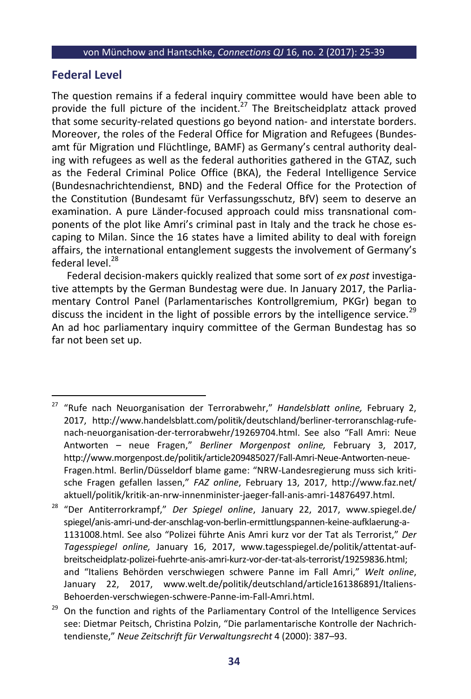# **Federal Level**

 $\overline{a}$ 

The question remains if a federal inquiry committee would have been able to provide the full picture of the incident.<sup>27</sup> The Breitscheidplatz attack proved that some security-related questions go beyond nation- and interstate borders. Moreover, the roles of the Federal Office for Migration and Refugees (Bundesamt für Migration und Flüchtlinge, BAMF) as Germany's central authority dealing with refugees as well as the federal authorities gathered in the GTAZ, such as the Federal Criminal Police Office (BKA), the Federal Intelligence Service (Bundesnachrichtendienst, BND) and the Federal Office for the Protection of the Constitution (Bundesamt für Verfassungsschutz, BfV) seem to deserve an examination. A pure Länder-focused approach could miss transnational components of the plot like Amri's criminal past in Italy and the track he chose escaping to Milan. Since the 16 states have a limited ability to deal with foreign affairs, the international entanglement suggests the involvement of Germany's federal level.<sup>28</sup>

Federal decision-makers quickly realized that some sort of *ex post* investigative attempts by the German Bundestag were due. In January 2017, the Parliamentary Control Panel (Parlamentarisches Kontrollgremium, PKGr) began to discuss the incident in the light of possible errors by the intelligence service.<sup>29</sup> An ad hoc parliamentary inquiry committee of the German Bundestag has so far not been set up.

<sup>27</sup> "Rufe nach Neuorganisation der Terrorabwehr," *Handelsblatt online,* February 2, 2017, http://www.handelsblatt.com/politik/deutschland/berliner-terroranschlag-rufenach-neuorganisation-der-terrorabwehr/19269704.html. See also "Fall Amri: Neue Antworten – neue Fragen," *Berliner Morgenpost online,* February 3, 2017, http://www.morgenpost.de/politik/article209485027/Fall-Amri-Neue-Antworten-neue-Fragen.html. Berlin/Düsseldorf blame game: "NRW-Landesregierung muss sich kritische Fragen gefallen lassen," *FAZ online*, February 13, 2017, http://www.faz.net/ aktuell/politik/kritik-an-nrw-innenminister-jaeger-fall-anis-amri-14876497.html.

<sup>28</sup> "Der Antiterrorkrampf," *Der Spiegel online*, January 22, 2017, www.spiegel.de/ spiegel/anis-amri-und-der-anschlag-von-berlin-ermittlungspannen-keine-aufklaerung-a-1131008.html. See also "Polizei führte Anis Amri kurz vor der Tat als Terrorist," *Der Tagesspiegel online,* January 16, 2017, www.tagesspiegel.de/politik/attentat-aufbreitscheidplatz-polizei-fuehrte-anis-amri-kurz-vor-der-tat-als-terrorist/19259836.html; and "Italiens Behörden verschwiegen schwere Panne im Fall Amri," *Welt online*, January 22, 2017, www.welt.de/politik/deutschland/article161386891/Italiens-Behoerden-verschwiegen-schwere-Panne-im-Fall-Amri.html.

<sup>29</sup> On the function and rights of the Parliamentary Control of the Intelligence Services see: Dietmar Peitsch, Christina Polzin, "Die parlamentarische Kontrolle der Nachrichtendienste," *Neue Zeitschrift für Verwaltungsrecht* 4 (2000): 387–93.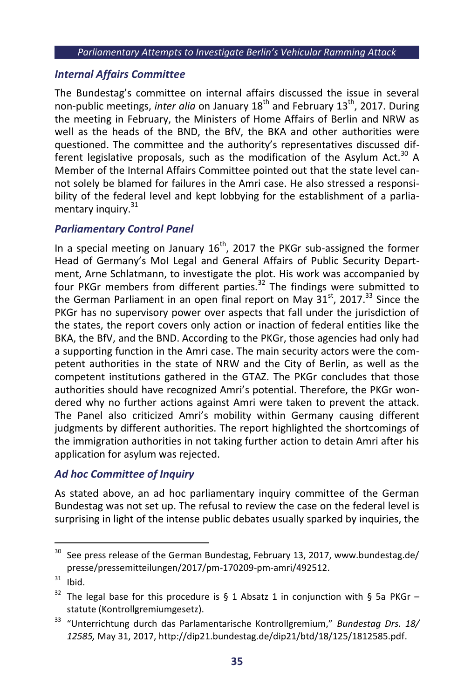# *Internal Affairs Committee*

The Bundestag's committee on internal affairs discussed the issue in several non-public meetings, *inter alia* on January 18<sup>th</sup> and February 13<sup>th</sup>, 2017. During the meeting in February, the Ministers of Home Affairs of Berlin and NRW as well as the heads of the BND, the BfV, the BKA and other authorities were questioned. The committee and the authority's representatives discussed different legislative proposals, such as the modification of the Asylum Act.<sup>30</sup> A Member of the Internal Affairs Committee pointed out that the state level cannot solely be blamed for failures in the Amri case. He also stressed a responsibility of the federal level and kept lobbying for the establishment of a parliamentary inquiry.<sup>31</sup>

# *Parliamentary Control Panel*

In a special meeting on January  $16^{th}$ , 2017 the PKGr sub-assigned the former Head of Germany's MoI Legal and General Affairs of Public Security Department, Arne Schlatmann, to investigate the plot. His work was accompanied by four PKGr members from different parties.<sup>32</sup> The findings were submitted to the German Parliament in an open final report on May  $31^{st}$ , 2017.<sup>33</sup> Since the PKGr has no supervisory power over aspects that fall under the jurisdiction of the states, the report covers only action or inaction of federal entities like the BKA, the BfV, and the BND. According to the PKGr, those agencies had only had a supporting function in the Amri case. The main security actors were the competent authorities in the state of NRW and the City of Berlin, as well as the competent institutions gathered in the GTAZ. The PKGr concludes that those authorities should have recognized Amri's potential. Therefore, the PKGr wondered why no further actions against Amri were taken to prevent the attack. The Panel also criticized Amri's mobility within Germany causing different judgments by different authorities. The report highlighted the shortcomings of the immigration authorities in not taking further action to detain Amri after his application for asylum was rejected.

# *Ad hoc Committee of Inquiry*

As stated above, an ad hoc parliamentary inquiry committee of the German Bundestag was not set up. The refusal to review the case on the federal level is surprising in light of the intense public debates usually sparked by inquiries, the

-

 $30$  See press release of the German Bundestag, February 13, 2017, www.bundestag.de/ presse/pressemitteilungen/2017/pm-170209-pm-amri/492512.

 $31$  Ibid.

<sup>&</sup>lt;sup>32</sup> The legal base for this procedure is § 1 Absatz 1 in conjunction with § 5a PKGr – statute (Kontrollgremiumgesetz).

<sup>33</sup> "Unterrichtung durch das Parlamentarische Kontrollgremium," *Bundestag Drs. 18/ 12585,* May 31, 2017, http://dip21.bundestag.de/dip21/btd/18/125/1812585.pdf.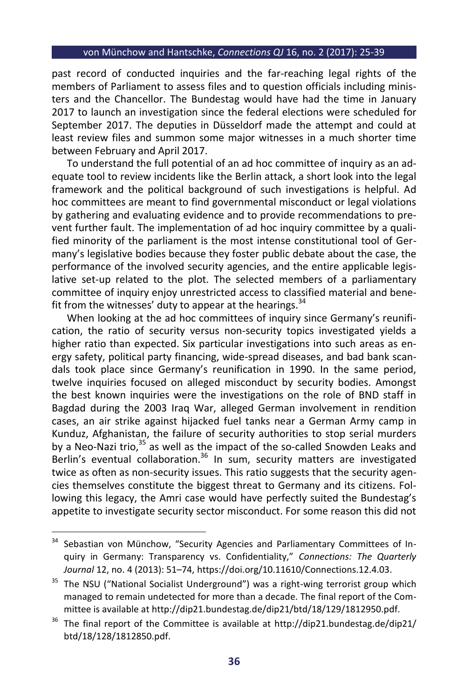past record of conducted inquiries and the far-reaching legal rights of the members of Parliament to assess files and to question officials including ministers and the Chancellor. The Bundestag would have had the time in January 2017 to launch an investigation since the federal elections were scheduled for September 2017. The deputies in Düsseldorf made the attempt and could at least review files and summon some major witnesses in a much shorter time between February and April 2017.

To understand the full potential of an ad hoc committee of inquiry as an adequate tool to review incidents like the Berlin attack, a short look into the legal framework and the political background of such investigations is helpful. Ad hoc committees are meant to find governmental misconduct or legal violations by gathering and evaluating evidence and to provide recommendations to prevent further fault. The implementation of ad hoc inquiry committee by a qualified minority of the parliament is the most intense constitutional tool of Germany's legislative bodies because they foster public debate about the case, the performance of the involved security agencies, and the entire applicable legislative set-up related to the plot. The selected members of a parliamentary committee of inquiry enjoy unrestricted access to classified material and benefit from the witnesses' duty to appear at the hearings.  $34$ 

When looking at the ad hoc committees of inquiry since Germany's reunification, the ratio of security versus non-security topics investigated yields a higher ratio than expected. Six particular investigations into such areas as energy safety, political party financing, wide-spread diseases, and bad bank scandals took place since Germany's reunification in 1990. In the same period, twelve inquiries focused on alleged misconduct by security bodies. Amongst the best known inquiries were the investigations on the role of BND staff in Bagdad during the 2003 Iraq War, alleged German involvement in rendition cases, an air strike against hijacked fuel tanks near a German Army camp in Kunduz, Afghanistan, the failure of security authorities to stop serial murders by a Neo-Nazi trio,<sup>35</sup> as well as the impact of the so-called Snowden Leaks and Berlin's eventual collaboration.<sup>36</sup> In sum, security matters are investigated twice as often as non-security issues. This ratio suggests that the security agencies themselves constitute the biggest threat to Germany and its citizens. Following this legacy, the Amri case would have perfectly suited the Bundestag's appetite to investigate security sector misconduct. For some reason this did not

 $_{\rm 34}$ Sebastian von Münchow, "Security Agencies and Parliamentary Committees of Inquiry in Germany: Transparency vs. Confidentiality," *Connections: The Quarterly Journal* 12, no. 4 (2013): 51–74, https://doi.org/10.11610/Connections.12.4.03.

<sup>&</sup>lt;sup>35</sup> The NSU ("National Socialist Underground") was a right-wing terrorist group which managed to remain undetected for more than a decade. The final report of the Committee is available at http://dip21.bundestag.de/dip21/btd/18/129/1812950.pdf.

 $36$  The final report of the Committee is available at http://dip21.bundestag.de/dip21/ btd/18/128/1812850.pdf.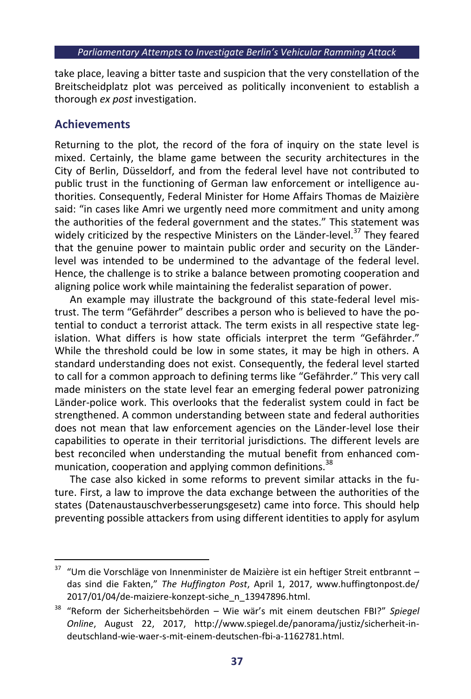take place, leaving a bitter taste and suspicion that the very constellation of the Breitscheidplatz plot was perceived as politically inconvenient to establish a thorough *ex post* investigation.

# **Achievements**

1

Returning to the plot, the record of the fora of inquiry on the state level is mixed. Certainly, the blame game between the security architectures in the City of Berlin, Düsseldorf, and from the federal level have not contributed to public trust in the functioning of German law enforcement or intelligence authorities. Consequently, Federal Minister for Home Affairs Thomas de Maizière said: "in cases like Amri we urgently need more commitment and unity among the authorities of the federal government and the states." This statement was widely criticized by the respective Ministers on the Länder-level.<sup>37</sup> They feared that the genuine power to maintain public order and security on the Länderlevel was intended to be undermined to the advantage of the federal level. Hence, the challenge is to strike a balance between promoting cooperation and aligning police work while maintaining the federalist separation of power.

An example may illustrate the background of this state-federal level mistrust. The term "Gefährder" describes a person who is believed to have the potential to conduct a terrorist attack. The term exists in all respective state legislation. What differs is how state officials interpret the term "Gefährder." While the threshold could be low in some states, it may be high in others. A standard understanding does not exist. Consequently, the federal level started to call for a common approach to defining terms like "Gefährder." This very call made ministers on the state level fear an emerging federal power patronizing Länder-police work. This overlooks that the federalist system could in fact be strengthened. A common understanding between state and federal authorities does not mean that law enforcement agencies on the Länder-level lose their capabilities to operate in their territorial jurisdictions. The different levels are best reconciled when understanding the mutual benefit from enhanced communication, cooperation and applying common definitions.<sup>38</sup>

The case also kicked in some reforms to prevent similar attacks in the future. First, a law to improve the data exchange between the authorities of the states (Datenaustauschverbesserungsgesetz) came into force. This should help preventing possible attackers from using different identities to apply for asylum

 $37$  "Um die Vorschläge von Innenminister de Maizière ist ein heftiger Streit entbrannt – das sind die Fakten," *The Huffington Post*, April 1, 2017, www.huffingtonpost.de/ 2017/01/04/de-maiziere-konzept-siche\_n\_13947896.html.

<sup>38</sup> "Reform der Sicherheitsbehörden – Wie wär's mit einem deutschen FBI?" *Spiegel Online*, August 22, 2017, http://www.spiegel.de/panorama/justiz/sicherheit-indeutschland-wie-waer-s-mit-einem-deutschen-fbi-a-1162781.html.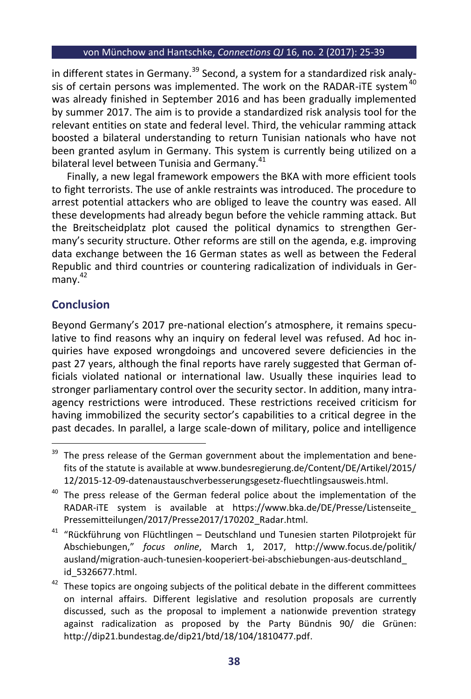in different states in Germany.<sup>39</sup> Second, a system for a standardized risk analysis of certain persons was implemented. The work on the RADAR-iTE system $40$ was already finished in September 2016 and has been gradually implemented by summer 2017. The aim is to provide a standardized risk analysis tool for the relevant entities on state and federal level. Third, the vehicular ramming attack boosted a bilateral understanding to return Tunisian nationals who have not been granted asylum in Germany. This system is currently being utilized on a bilateral level between Tunisia and Germanv.<sup>41</sup>

Finally, a new legal framework empowers the BKA with more efficient tools to fight terrorists. The use of ankle restraints was introduced. The procedure to arrest potential attackers who are obliged to leave the country was eased. All these developments had already begun before the vehicle ramming attack. But the Breitscheidplatz plot caused the political dynamics to strengthen Germany's security structure. Other reforms are still on the agenda, e.g. improving data exchange between the 16 German states as well as between the Federal Republic and third countries or countering radicalization of individuals in Germany. 42

# **Conclusion**

1

Beyond Germany's 2017 pre-national election's atmosphere, it remains speculative to find reasons why an inquiry on federal level was refused. Ad hoc inquiries have exposed wrongdoings and uncovered severe deficiencies in the past 27 years, although the final reports have rarely suggested that German officials violated national or international law. Usually these inquiries lead to stronger parliamentary control over the security sector. In addition, many intraagency restrictions were introduced. These restrictions received criticism for having immobilized the security sector's capabilities to a critical degree in the past decades. In parallel, a large scale-down of military, police and intelligence

 $39$  The press release of the German government about the implementation and benefits of the statute is available at www.bundesregierung.de/Content/DE/Artikel/2015/ 12/2015-12-09-datenaustauschverbesserungsgesetz-fluechtlingsausweis.html.

 $40$  The press release of the German federal police about the implementation of the RADAR-iTE system is available at https://www.bka.de/DE/Presse/Listenseite\_ Pressemitteilungen/2017/Presse2017/170202\_Radar.html.

<sup>41</sup> "Rückführung von Flüchtlingen – Deutschland und Tunesien starten Pilotprojekt für Abschiebungen," *focus online*, March 1, 2017, http://www.focus.de/politik/ ausland/migration-auch-tunesien-kooperiert-bei-abschiebungen-aus-deutschland\_ id\_5326677.html.

 $42$  These topics are ongoing subjects of the political debate in the different committees on internal affairs. Different legislative and resolution proposals are currently discussed, such as the proposal to implement a nationwide prevention strategy against radicalization as proposed by the Party Bündnis 90/ die Grünen: http://dip21.bundestag.de/dip21/btd/18/104/1810477.pdf.